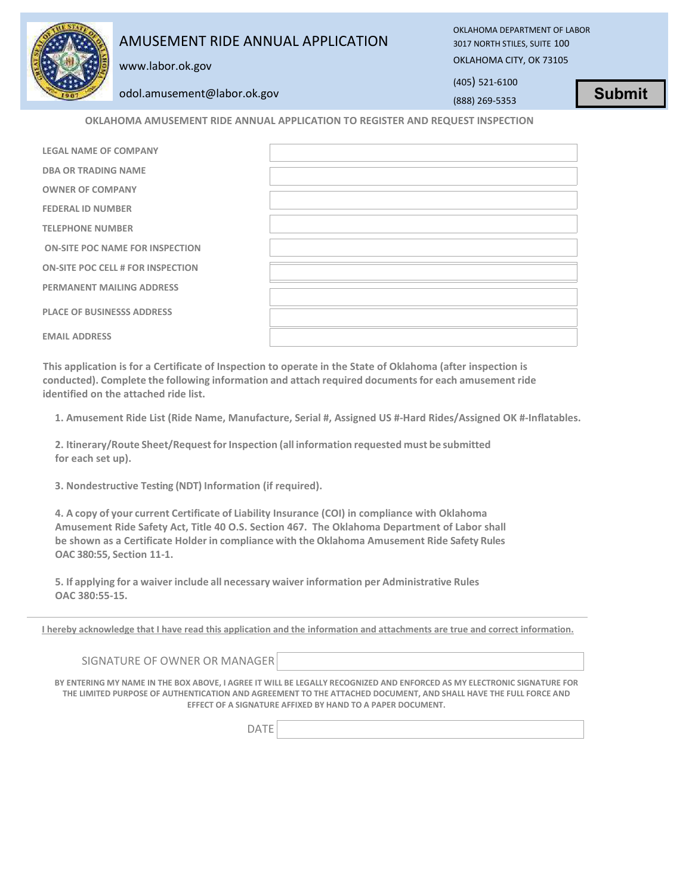## AMUSEMENT RIDE ANNUAL APPLICATION

OKLAHOMA DEPARTMENT OF LABOR 3017 NORTH STILES, SUITE 100 OKLAHOMA CITY, OK 73105

www.labor.ok.gov

odol.amusement@labor.ok.gov

(405) 521-6100 (888) 269-5353

**Submit**

**OKLAHOMA AMUSEMENT RIDE ANNUAL APPLICATION TO REGISTER AND REQUEST INSPECTION**

| <b>LEGAL NAME OF COMPANY</b>             |  |
|------------------------------------------|--|
| <b>DBA OR TRADING NAME</b>               |  |
| <b>OWNER OF COMPANY</b>                  |  |
| <b>FEDERAL ID NUMBER</b>                 |  |
| <b>TELEPHONE NUMBER</b>                  |  |
| <b>ON-SITE POC NAME FOR INSPECTION</b>   |  |
| <b>ON-SITE POC CELL # FOR INSPECTION</b> |  |
| <b>PERMANENT MAILING ADDRESS</b>         |  |
| <b>PLACE OF BUSINESSS ADDRESS</b>        |  |
| <b>EMAIL ADDRESS</b>                     |  |
|                                          |  |

**This application is for a Certificate of Inspection to operate in the State of Oklahoma (after inspection is conducted). Complete the following information and attach required documentsfor each amusement ride identified on the attached ride list.**

**1. Amusement Ride List (Ride Name, Manufacture, Serial #, Assigned US #-Hard Rides/Assigned OK #-Inflatables.**

**2. Itinerary/Route Sheet/RequestforInspection (all information requested must be submitted for each set up).**

**3. Nondestructive Testing (NDT) Information (if required).**

**4. A copy of your current Certificate of Liability Insurance (COI) in compliance with Oklahoma Amusement Ride Safety Act, Title 40 O.S. Section 467. The Oklahoma Department of Labor shall be shown as a Certificate Holder in compliance with the Oklahoma Amusement Ride Safety Rules OAC 380:55, Section 11-1.**

**5. If applying for a waiver include all necessary waiver information per Administrative Rules OAC 380:55-15.**

**I hereby acknowledge that I have read this application and the information and attachments are true and correct information.**

SIGNATURE OF OWNER OR MANAGER

**BY ENTERING MY NAME IN THE BOX ABOVE, I AGREE IT WILL BE LEGALLY RECOGNIZED AND ENFORCED AS MY ELECTRONIC SIGNATURE FOR THE LIMITED PURPOSE OF AUTHENTICATION AND AGREEMENT TO THE ATTACHED DOCUMENT, AND SHALL HAVE THE FULL FORCE AND EFFECT OF A SIGNATURE AFFIXED BY HAND TO A PAPER DOCUMENT.**

DATE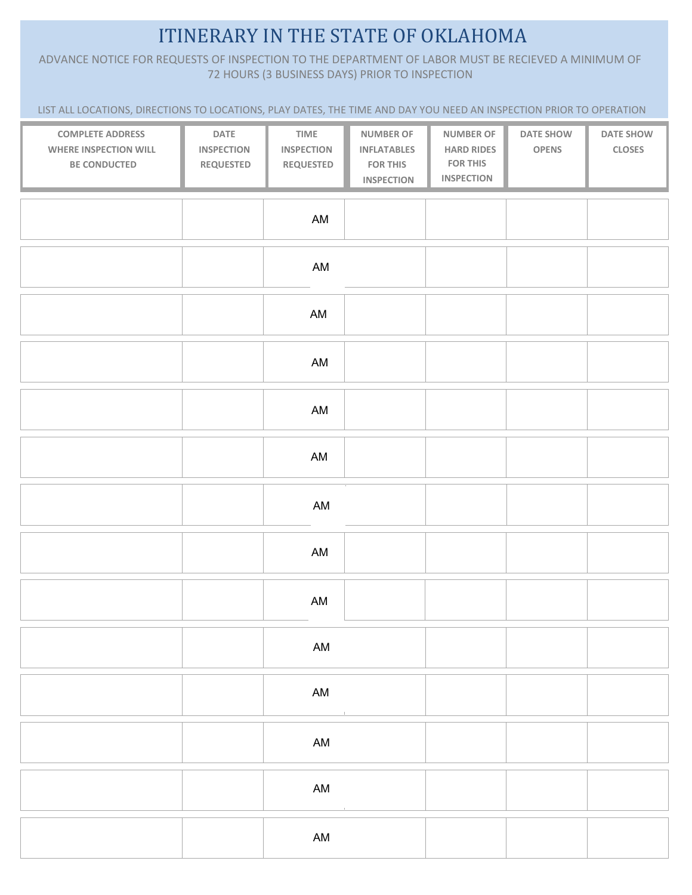## ITINERARY IN THE STATE OF OKLAHOMA

ADVANCE NOTICE FOR REQUESTS OF INSPECTION TO THE DEPARTMENT OF LABOR MUST BE RECIEVED A MINIMUM OF 72 HOURS (3 BUSINESS DAYS) PRIOR TO INSPECTION

LIST ALL LOCATIONS, DIRECTIONS TO LOCATIONS, PLAY DATES, THE TIME AND DAY YOU NEED AN INSPECTION PRIOR TO OPERATION

| <b>COMPLETE ADDRESS</b><br>WHERE INSPECTION WILL<br>BE CONDUCTED | DATE<br><b>INSPECTION</b><br><b>REQUESTED</b> | TIME<br><b>INSPECTION</b><br><b>REQUESTED</b> | <b>NUMBER OF</b><br><b>INFLATABLES</b><br><b>FOR THIS</b><br><b>INSPECTION</b> | <b>NUMBER OF</b><br><b>HARD RIDES</b><br><b>FOR THIS</b><br><b>INSPECTION</b> | DATE SHOW<br><b>OPENS</b> | DATE SHOW<br><b>CLOSES</b> |
|------------------------------------------------------------------|-----------------------------------------------|-----------------------------------------------|--------------------------------------------------------------------------------|-------------------------------------------------------------------------------|---------------------------|----------------------------|
|                                                                  |                                               | AM                                            |                                                                                |                                                                               |                           |                            |
|                                                                  |                                               | AM                                            |                                                                                |                                                                               |                           |                            |
|                                                                  |                                               | AM                                            |                                                                                |                                                                               |                           |                            |
|                                                                  |                                               | AM                                            |                                                                                |                                                                               |                           |                            |
|                                                                  |                                               | AM                                            |                                                                                |                                                                               |                           |                            |
|                                                                  |                                               | AM                                            |                                                                                |                                                                               |                           |                            |
|                                                                  |                                               | AM                                            |                                                                                |                                                                               |                           |                            |
|                                                                  |                                               | AM                                            |                                                                                |                                                                               |                           |                            |
|                                                                  |                                               | AM                                            |                                                                                |                                                                               |                           |                            |
|                                                                  |                                               | $\mathsf{AM}$                                 |                                                                                |                                                                               |                           |                            |
|                                                                  |                                               | $\mathsf{AM}$                                 |                                                                                |                                                                               |                           |                            |
|                                                                  |                                               | $\mathsf{AM}$                                 |                                                                                |                                                                               |                           |                            |
|                                                                  |                                               | $\mathsf{AM}$                                 |                                                                                |                                                                               |                           |                            |
|                                                                  |                                               | $\mathsf{AM}$                                 |                                                                                |                                                                               |                           |                            |